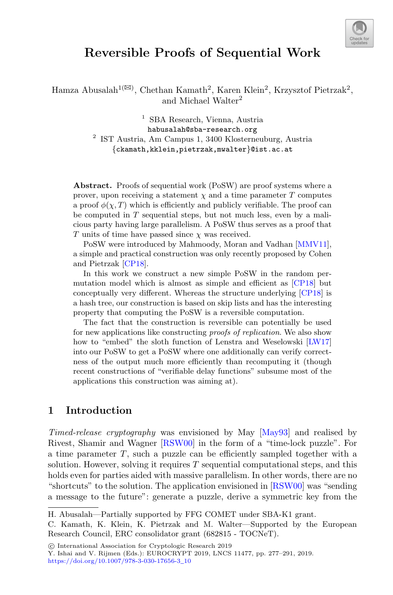

# **Reversible Proofs of Sequential Work**

Hamza Abusalah<sup>1( $\boxtimes$ )</sup>, Chethan Kamath<sup>2</sup>, Karen Klein<sup>2</sup>, Krzysztof Pietrzak<sup>2</sup>, and Michael Walter<sup>2</sup>

> <sup>1</sup> SBA Research, Vienna, Austria habusalah@sba-research.org <sup>2</sup> IST Austria, Am Campus 1, 3400 Klosterneuburg, Austria {ckamath,kklein,pietrzak,mwalter}@ist.ac.at

Abstract. Proofs of sequential work (PoSW) are proof systems where a prover, upon receiving a statement  $\chi$  and a time parameter T computes a proof  $\phi(\chi, T)$  which is efficiently and publicly verifiable. The proof can be computed in  $T$  sequential steps, but not much less, even by a malicious party having large parallelism. A PoSW thus serves as a proof that T units of time have passed since  $\chi$  was received.

PoSW were introduced by Mahmoody, Moran and Vadhan [\[MMV11\]](#page-13-0), a simple and practical construction was only recently proposed by Cohen and Pietrzak [\[CP18](#page-13-1)].

In this work we construct a new simple PoSW in the random permutation model which is almost as simple and efficient as [\[CP18\]](#page-13-1) but conceptually very different. Whereas the structure underlying [\[CP18](#page-13-1)] is a hash tree, our construction is based on skip lists and has the interesting property that computing the PoSW is a reversible computation.

The fact that the construction is reversible can potentially be used for new applications like constructing *proofs of replication*. We also show how to "embed" the sloth function of Lenstra and Weselowski [\[LW17](#page-13-2)] into our PoSW to get a PoSW where one additionally can verify correctness of the output much more efficiently than recomputing it (though recent constructions of "verifiable delay functions" subsume most of the applications this construction was aiming at).

# **1 Introduction**

*Timed-release cryptography* was envisioned by May [\[May93](#page-13-3)] and realised by Rivest, Shamir and Wagner [\[RSW00](#page-14-0)] in the form of a "time-lock puzzle". For a time parameter T, such a puzzle can be efficiently sampled together with a solution. However, solving it requires  $T$  sequential computational steps, and this holds even for parties aided with massive parallelism. In other words, there are no "shortcuts" to the solution. The application envisioned in [\[RSW00](#page-14-0)] was "sending a message to the future": generate a puzzle, derive a symmetric key from the

H. Abusalah—Partially supported by FFG COMET under SBA-K1 grant.

C. Kamath, K. Klein, K. Pietrzak and M. Walter—Supported by the European Research Council, ERC consolidator grant (682815 - TOCNeT).

<sup>-</sup>c International Association for Cryptologic Research 2019

Y. Ishai and V. Rijmen (Eds.): EUROCRYPT 2019, LNCS 11477, pp. 277–291, 2019. [https://doi.org/10.1007/978-3-030-17656-3](https://doi.org/10.1007/978-3-030-17656-3_10)\_10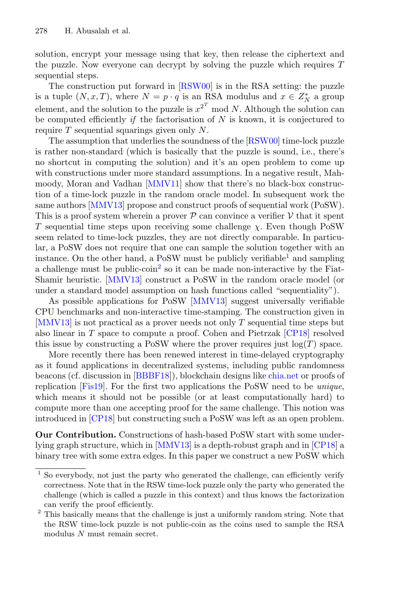solution, encrypt your message using that key, then release the ciphertext and the puzzle. Now everyone can decrypt by solving the puzzle which requires  $T$ sequential steps.

The construction put forward in [\[RSW00](#page-14-0)] is in the RSA setting: the puzzle is a tuple  $(N, x, T)$ , where  $N = p \cdot q$  is an RSA modulus and  $x \in Z_N^*$  a group element, and the solution to the puzzle is  $x^{2^T}$  mod N. Although the solution can be computed efficiently *if* the factorisation of N is known, it is conjectured to require  $T$  sequential squarings given only  $N$ .

The assumption that underlies the soundness of the [\[RSW00\]](#page-14-0) time-lock puzzle is rather non-standard (which is basically that the puzzle is sound, i.e., there's no shortcut in computing the solution) and it's an open problem to come up with constructions under more standard assumptions. In a negative result, Mahmoody, Moran and Vadhan [\[MMV11](#page-13-0)] show that there's no black-box construction of a time-lock puzzle in the random oracle model. In subsequent work the same authors [\[MMV13\]](#page-13-4) propose and construct proofs of sequential work (PoSW). This is a proof system wherein a prover  $P$  can convince a verifier  $V$  that it spent T sequential time steps upon receiving some challenge  $\chi$ . Even though PoSW seem related to time-lock puzzles, they are not directly comparable. In particular, a PoSW does not require that one can sample the solution together with an instance. On the other hand, a PoSW must be publicly verifiable and sampling a challenge must be public-coin<sup>[2](#page-1-1)</sup> so it can be made non-interactive by the Fiat-Shamir heuristic. [\[MMV13](#page-13-4)] construct a PoSW in the random oracle model (or under a standard model assumption on hash functions called "sequentiality").

As possible applications for PoSW [\[MMV13](#page-13-4)] suggest universally verifiable CPU benchmarks and non-interactive time-stamping. The construction given in [\[MMV13\]](#page-13-4) is not practical as a prover needs not only T sequential time steps but also linear in T space to compute a proof. Cohen and Pietrzak [\[CP18](#page-13-1)] resolved this issue by constructing a PoSW where the prover requires just  $log(T)$  space.

More recently there has been renewed interest in time-delayed cryptography as it found applications in decentralized systems, including public randomness beacons (cf. discussion in [\[BBBF18](#page-13-5)]), blockchain designs like [chia.net](https://www.chia.net/) or proofs of replication [\[Fis19\]](#page-13-6). For the first two applications the PoSW need to be *unique*, which means it should not be possible (or at least computationally hard) to compute more than one accepting proof for the same challenge. This notion was introduced in [\[CP18](#page-13-1)] but constructing such a PoSW was left as an open problem.

**Our Contribution.** Constructions of hash-based PoSW start with some underlying graph structure, which in [\[MMV13\]](#page-13-4) is a depth-robust graph and in [\[CP18](#page-13-1)] a binary tree with some extra edges. In this paper we construct a new PoSW which

<span id="page-1-0"></span><sup>&</sup>lt;sup>1</sup> So everybody, not just the party who generated the challenge, can efficiently verify correctness. Note that in the RSW time-lock puzzle only the party who generated the challenge (which is called a puzzle in this context) and thus knows the factorization can verify the proof efficiently. <sup>2</sup> This basically means that the challenge is just a uniformly random string. Note that

<span id="page-1-1"></span>the RSW time-lock puzzle is not public-coin as the coins used to sample the RSA modulus N must remain secret.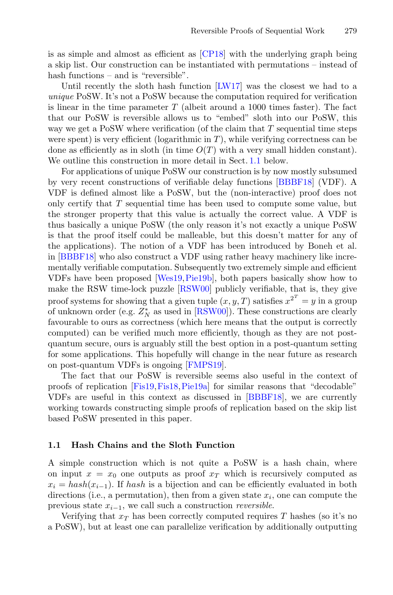is as simple and almost as efficient as [\[CP18\]](#page-13-1) with the underlying graph being a skip list. Our construction can be instantiated with permutations – instead of hash functions – and is "reversible".

Until recently the sloth hash function [\[LW17](#page-13-2)] was the closest we had to a *unique* PoSW. It's not a PoSW because the computation required for verification is linear in the time parameter  $T$  (albeit around a 1000 times faster). The fact that our PoSW is reversible allows us to "embed" sloth into our PoSW, this way we get a PoSW where verification (of the claim that  $T$  sequential time steps were spent) is very efficient (logarithmic in  $T$ ), while verifying correctness can be done as efficiently as in sloth (in time  $O(T)$  with a very small hidden constant). We outline this construction in more detail in Sect. [1.1](#page-2-0) below.

For applications of unique PoSW our construction is by now mostly subsumed by very recent constructions of verifiable delay functions [\[BBBF18](#page-13-5)] (VDF). A VDF is defined almost like a PoSW, but the (non-interactive) proof does not only certify that T sequential time has been used to compute some value, but the stronger property that this value is actually the correct value. A VDF is thus basically a unique PoSW (the only reason it's not exactly a unique PoSW is that the proof itself could be malleable, but this doesn't matter for any of the applications). The notion of a VDF has been introduced by Boneh et al. in [\[BBBF18](#page-13-5)] who also construct a VDF using rather heavy machinery like incrementally verifiable computation. Subsequently two extremely simple and efficient VDFs have been proposed [\[Wes19,](#page-14-1)[Pie19b](#page-14-2)], both papers basically show how to make the RSW time-lock puzzle [\[RSW00](#page-14-0)] publicly verifiable, that is, they give proof systems for showing that a given tuple  $(x, y, T)$  satisfies  $x^{2^T} = y$  in a group of unknown order (e.g.  $Z_N^*$  as used in [\[RSW00](#page-14-0)]). These constructions are clearly favourable to ours as correctness (which here means that the output is correctly computed) can be verified much more efficiently, though as they are not postquantum secure, ours is arguably still the best option in a post-quantum setting for some applications. This hopefully will change in the near future as research on post-quantum VDFs is ongoing [\[FMPS19](#page-13-7)].

The fact that our PoSW is reversible seems also useful in the context of proofs of replication [\[Fis19](#page-13-6)[,Fis18](#page-13-8)[,Pie19a](#page-13-9)] for similar reasons that "decodable" VDFs are useful in this context as discussed in [\[BBBF18](#page-13-5)], we are currently working towards constructing simple proofs of replication based on the skip list based PoSW presented in this paper.

#### <span id="page-2-0"></span>**1.1 Hash Chains and the Sloth Function**

A simple construction which is not quite a PoSW is a hash chain, where on input  $x = x_0$  one outputs as proof  $x_T$  which is recursively computed as  $x_i = hash(x_{i-1})$ . If hash is a bijection and can be efficiently evaluated in both directions (i.e., a permutation), then from a given state  $x_i$ , one can compute the previous state <sup>x</sup><sup>i</sup>−<sup>1</sup>, we call such a construction *reversible*.

Verifying that  $x_T$  has been correctly computed requires T hashes (so it's no a PoSW), but at least one can parallelize verification by additionally outputting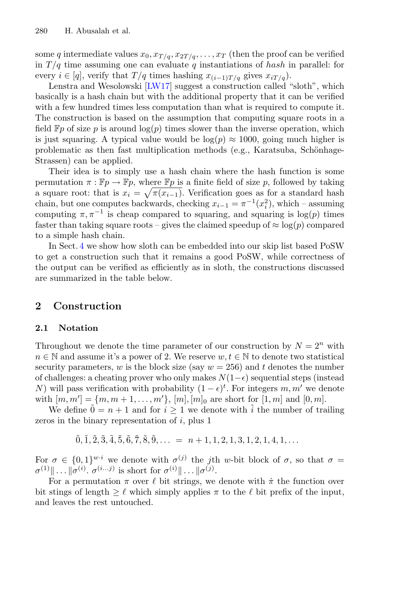some q intermediate values  $x_0, x_{T/q}, x_{2T/q}, \ldots, x_T$  (then the proof can be verified in  $T/q$  time assuming one can evaluate q instantiations of hash in parallel: for every  $i \in [q]$ , verify that  $T/q$  times hashing  $x_{(i-1)T/q}$  gives  $x_{iT/q}$ ).

Lenstra and Wesolowski [\[LW17\]](#page-13-2) suggest a construction called "sloth", which basically is a hash chain but with the additional property that it can be verified with a few hundred times less computation than what is required to compute it. The construction is based on the assumption that computing square roots in a field  $\mathbb{F}p$  of size p is around  $\log(p)$  times slower than the inverse operation, which is just squaring. A typical value would be  $log(p) \approx 1000$ , going much higher is problematic as then fast multiplication methods (e.g., Karatsuba, Schönhage-Strassen) can be applied.

Their idea is to simply use a hash chain where the hash function is some permutation  $\pi : \mathbb{F}p \to \mathbb{F}p$ , where  $\mathbb{F}p$  is a finite field of size p, followed by taking a square root: that is  $x_i = \sqrt{\pi(x_{i-1})}$ . Verification goes as for a standard hash chain, but one computes backwards, checking  $x_{i-1} = \pi^{-1}(x_i^2)$ , which – assuming computing  $\pi, \pi^{-1}$  is cheap compared to squaring, and squaring is log(p) times faster than taking square roots – gives the claimed speedup of  $\approx \log(p)$  compared to a simple hash chain.

In Sect. [4](#page-10-0) we show how sloth can be embedded into our skip list based PoSW to get a construction such that it remains a good PoSW, while correctness of the output can be verified as efficiently as in sloth, the constructions discussed are summarized in the table below.

# <span id="page-3-0"></span>**2 Construction**

### **2.1 Notation**

Throughout we denote the time parameter of our construction by  $N = 2^n$  with  $n \in \mathbb{N}$  and assume it's a power of 2. We reserve  $w, t \in \mathbb{N}$  to denote two statistical security parameters, w is the block size (say  $w = 256$ ) and t denotes the number of challenges: a cheating prover who only makes  $N(1-\epsilon)$  sequential steps (instead N) will pass verification with probability  $(1 - \epsilon)^t$ . For integers m, m' we denote with  $[m, m'] = (m, m + 1, \ldots, m']$ ,  $[m], [m]_0$  are short for  $[1, m]$  and  $[0, m]$ .

We define  $0 = n + 1$  and for  $i \geq 1$  we denote with i the number of trailing zeros in the binary representation of  $i$ , plus 1

 $\tilde{0}, \tilde{1}, \tilde{2}, \tilde{3}, \tilde{4}, \tilde{5}, \tilde{6}, \tilde{7}, \tilde{8}, \tilde{9}, \ldots = n + 1, 1, 2, 1, 3, 1, 2, 1, 4, 1, \ldots$ 

For  $\sigma \in \{0,1\}^{w \cdot i}$  we denote with  $\sigma^{(j)}$  the jth w-bit block of  $\sigma$ , so that  $\sigma =$  $\sigma^{(1)}\|\ldots\|\sigma^{(i)}\ldots\sigma^{(i...j)}$  is short for  $\sigma^{(i)}\|\ldots\|\sigma^{(j)}\ldots\sigma^{(j)}\}$ .

For a permutation  $\pi$  over  $\ell$  bit strings, we denote with  $\pi$  the function over bit stings of length  $\geq \ell$  which simply applies  $\pi$  to the  $\ell$  bit prefix of the input, and leaves the rest untouched.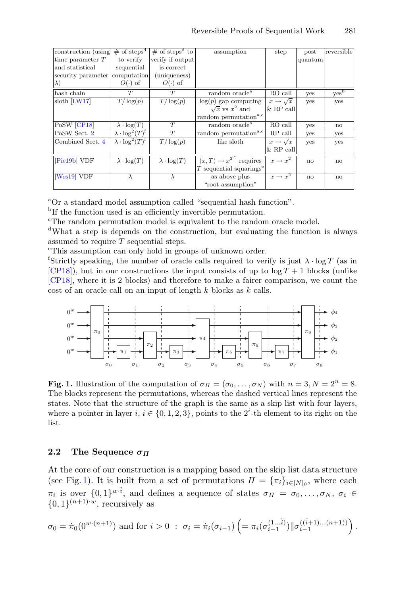| construction (using) | # of steps <sup>d</sup>                | $\#$ of steps <sup>d</sup> to | assumption                            | step                     | post                   | reversible    |
|----------------------|----------------------------------------|-------------------------------|---------------------------------------|--------------------------|------------------------|---------------|
| time parameter $T$   | to verify                              | verify if output              |                                       |                          | quantum                |               |
| and statistical      | sequential                             | is correct                    |                                       |                          |                        |               |
| security parameter   | computation                            | (uniqueness)                  |                                       |                          |                        |               |
| $ \lambda)$          | $O(\cdot)$ of                          | $O(\cdot)$ of                 |                                       |                          |                        |               |
| hash chain           | T                                      | T                             | random oracle <sup>a</sup>            | RO call                  | yes                    | $yes^{\rm b}$ |
| sloth [LW17]         | $T/\log(p)$                            | $T/\log(p)$                   | $log(p)$ gap computing                | $x \rightarrow \sqrt{x}$ | yes                    | yes           |
|                      |                                        |                               | $\sqrt{x}$ vs $x^2$ and               | $\&$ RP call             |                        |               |
|                      |                                        |                               | random permutation <sup>a,c</sup>     |                          |                        |               |
| PoSW [CP18]          | $\lambda \cdot \log(T)$                | T                             | random oracle <sup>a</sup>            | RO call                  | yes                    | no            |
| PoSW Sect. 2         | $\lambda \cdot \log^2(T)^\text{f}$     | T                             | random permutation <sup>a,c</sup>     | $RP$ call                | yes                    | yes           |
| Combined Sect. 4     | $\lambda \cdot \log^2(T)$ <sup>f</sup> | $T/\log(p)$                   | like sloth                            | $x \rightarrow \sqrt{x}$ | yes                    | yes           |
|                      |                                        |                               |                                       | $&$ RP call              |                        |               |
| [Pie19b] VDF         | $\lambda \cdot \log(T)$                | $\lambda \cdot \log(T)$       | $(x,T) \rightarrow x^{2^T}$ requires  | $x \rightarrow x^2$      | $\mathbf{n}\mathbf{o}$ | no            |
|                      |                                        |                               | $T$ sequential squarings <sup>e</sup> |                          |                        |               |
| [Wes19] VDF          |                                        | λ                             | as above plus                         | $x \rightarrow x^2$      | no                     | no            |
|                      |                                        |                               | "root assumption"                     |                          |                        |               |

<sup>a</sup>Or a standard model assumption called "sequential hash function".

<sup>b</sup>If the function used is an efficiently invertible permutation.

<sup>c</sup>The random permutation model is equivalent to the random oracle model.

<sup>d</sup>What a step is depends on the construction, but evaluating the function is always assumed to require  $T$  sequential steps.

This assumption can only hold in groups of unknown order.

<sup>f</sup>Strictly speaking, the number of oracle calls required to verify is just  $\lambda \cdot \log T$  (as in  $[CP18]$  $[CP18]$ ), but in our constructions the input consists of up to  $\log T + 1$  blocks (unlike [\[CP18](#page-13-1)], where it is 2 blocks) and therefore to make a fairer comparison, we count the cost of an oracle call on an input of length k blocks as k calls.



<span id="page-4-0"></span>**Fig. 1.** Illustration of the computation of  $\sigma_{\Pi} = (\sigma_0, \ldots, \sigma_N)$  with  $n = 3, N = 2^n = 8$ . The blocks represent the permutations, whereas the dashed vertical lines represent the states. Note that the structure of the graph is the same as a skip list with four layers, where a pointer in layer  $i, i \in \{0, 1, 2, 3\}$ , points to the  $2^i$ -th element to its right on the list.

### **2.2** The Sequence  $\sigma$ *π*

At the core of our construction is a mapping based on the skip list data structure (see Fig. [1\)](#page-4-0). It is built from a set of permutations  $\Pi = {\pi_i}_{i \in [N]_0}$ , where each  $\pi_i$  is over  $\{0,1\}^{w\cdot\tilde{i}}$ , and defines a sequence of states  $\sigma_{\Pi} = \sigma_0,\ldots,\sigma_N, \sigma_i \in$  $\{0,1\}^{(n+1)\cdot w}$ , recursively as

$$
\sigma_0 = \dot{\pi}_0(0^{w \cdot (n+1)}) \text{ and for } i > 0 \; : \; \sigma_i = \dot{\pi}_i(\sigma_{i-1}) \left(= \pi_i(\sigma_{i-1}^{(1...i)}) \|\sigma_{i-1}^{((i+1)...(n+1))}\right).
$$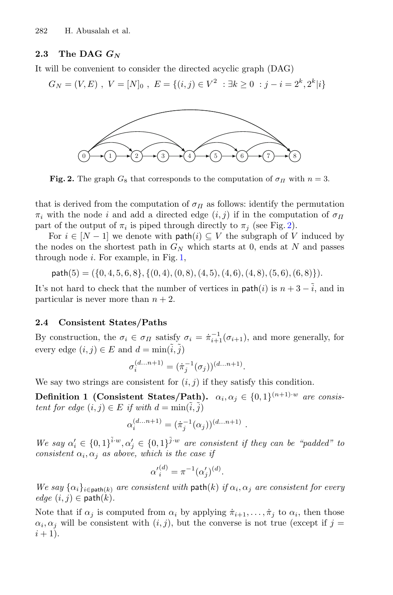#### **2.3 The DAG** *GN*

It will be convenient to consider the directed acyclic graph (DAG)

$$
G_N = (V, E), V = [N]_0, E = \{(i, j) \in V^2 : \exists k \ge 0 : j - i = 2^k, 2^k | i\}
$$



<span id="page-5-0"></span>**Fig. 2.** The graph  $G_8$  that corresponds to the computation of  $\sigma_{\Pi}$  with  $n = 3$ .

that is derived from the computation of  $\sigma_{II}$  as follows: identify the permutation  $\pi_i$  with the node i and add a directed edge  $(i, j)$  if in the computation of  $\sigma_{\Pi}$ part of the output of  $\pi_i$  is piped through directly to  $\pi_j$  (see Fig. [2\)](#page-5-0).

For  $i \in [N-1]$  we denote with path $(i) \subseteq V$  the subgraph of V induced by the nodes on the shortest path in  $G_N$  which starts at 0, ends at N and passes through node  $i$ . For example, in Fig. [1,](#page-4-0)

 $path(5) = ({0, 4, 5, 6, 8}, {(0, 4), (0, 8), (4, 5), (4, 6), (4, 8), (5, 6), (6, 8)}).$ 

It's not hard to check that the number of vertices in  $\text{path}(i)$  is  $n + 3 - \tilde{i}$ , and in particular is never more than  $n + 2$ .

#### **2.4 Consistent States/Paths**

By construction, the  $\sigma_i \in \sigma_{\Pi}$  satisfy  $\sigma_i = \dot{\pi}_{i+1}^{-1}(\sigma_{i+1})$ , and more generally, for every edge  $(i, j) \in E$  and  $d = \min(\tilde{i}, \tilde{j})$ 

$$
\sigma_i^{(d...n+1)} = (\dot{\pi}_j^{-1}(\sigma_j))^{(d...n+1)}.
$$

<span id="page-5-1"></span>We say two strings are consistent for  $(i, j)$  if they satisfy this condition.

**Definition 1 (Consistent States/Path).**  $\alpha_i, \alpha_j \in \{0, 1\}^{(n+1)\cdot w}$  are consis*tent for edge*  $(i, j) \in E$  *if with*  $d = \min(i, j)$ 

$$
\alpha_i^{(d...n+1)} = (\dot{\pi}_j^{-1}(\alpha_j))^{(d...n+1)}.
$$

We say  $\alpha'_i \in \{0,1\}^{\tilde{i}\cdot w}, \alpha'_j \in \{0,1\}^{\tilde{j}\cdot w}$  are consistent if they can be "padded" to *consistent*  $\alpha_i, \alpha_j$  *as above, which is the case if* 

$$
{\alpha'}_i^{(d)} = \pi^{-1} ({\alpha}'_j)^{(d)}.
$$

*We say*  $\{\alpha_i\}_{i \in \text{path}(k)}$  *are consistent with* path(k) *if*  $\alpha_i, \alpha_j$  *are consistent for every*  $edge (i, j) \in \mathsf{path}(k)$ .

Note that if  $\alpha_j$  is computed from  $\alpha_i$  by applying  $\dot{\pi}_{i+1},\ldots,\dot{\pi}_j$  to  $\alpha_i$ , then those  $\alpha_i, \alpha_j$  will be consistent with  $(i, j)$ , but the converse is not true (except if  $j =$  $i + 1$ ).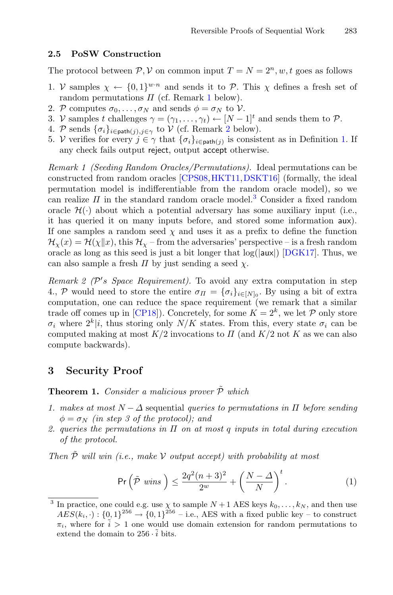#### <span id="page-6-4"></span>**2.5 PoSW Construction**

The protocol between  $P, V$  on common input  $T = N = 2<sup>n</sup>, w, t$  goes as follows

- 1. V samples  $\chi \leftarrow \{0,1\}^{w \cdot n}$  and sends it to P. This  $\chi$  defines a fresh set of random permutations  $\Pi$  (cf. Remark [1](#page-6-0) below).
- 2. P computes  $\sigma_0, \ldots, \sigma_N$  and sends  $\phi = \sigma_N$  to V.
- 3. V samples t challenges  $\gamma = (\gamma_1, \ldots, \gamma_t) \leftarrow [N-1]^t$  and sends them to  $\mathcal{P}$ .
- 4. P sends  $\{\sigma_i\}_{i \in \text{path}(j), j \in \gamma}$  to V (cf. Remark [2](#page-6-1) below).
- 5. V verifies for every  $j \in \gamma$  that  $\{\sigma_i\}_{i \in \text{path}(j)}$  is consistent as in Definition [1.](#page-5-1) If any check fails output reject, output accept otherwise.

<span id="page-6-0"></span>*Remark 1 (Seeding Random Oracles/Permutations).* Ideal permutations can be constructed from random oracles [\[CPS08](#page-13-10)[,HKT11](#page-13-11)[,DSKT16](#page-13-12)] (formally, the ideal permutation model is indifferentiable from the random oracle model), so we can realize  $\Pi$  in the standard random oracle model.<sup>[3](#page-6-2)</sup> Consider a fixed random oracle  $\mathcal{H}(\cdot)$  about which a potential adversary has some auxiliary input (i.e., it has queried it on many inputs before, and stored some information aux). If one samples a random seed  $\chi$  and uses it as a prefix to define the function  $\mathcal{H}_{\gamma}(x) = \mathcal{H}(\gamma \| x)$ , this  $\mathcal{H}_{\gamma}$  – from the adversaries' perspective – is a fresh random oracle as long as this seed is just a bit longer that  $log(|aux|)$  [\[DGK17\]](#page-13-13). Thus, we can also sample a fresh  $\Pi$  by just sending a seed  $\chi$ .

<span id="page-6-1"></span>*Remark 2 (P's Space Requirement)*. To avoid any extra computation in step 4., P would need to store the entire  $\sigma_{\Pi} = {\{\sigma_i\}}_{i \in [N]_0}$ . By using a bit of extra computation, one can reduce the space requirement (we remark that a similar trade off comes up in [\[CP18\]](#page-13-1)). Concretely, for some  $K = 2<sup>k</sup>$ , we let P only store  $\sigma_i$  where  $2^k|i$ , thus storing only  $N/K$  states. From this, every state  $\sigma_i$  can be computed making at most  $K/2$  invocations to  $\Pi$  (and  $K/2$  not K as we can also compute backwards).

### **3 Security Proof**

<span id="page-6-3"></span>**Theorem 1.** *Consider a malicious prover*  $\tilde{\mathcal{P}}$  *which* 

- *1. makes at most* <sup>N</sup> <sup>−</sup> <sup>Δ</sup> sequential *queries to permutations in* <sup>Π</sup> *before sending*  $\phi = \sigma_N$  *(in step 3 of the protocol); and*
- *2. queries the permutations in* Π *on at most* q *inputs in total during execution of the protocol.*

*Then*  $\tilde{P}$  *will win (i.e., make* V *output accept) with probability at most* 

$$
\Pr\left(\tilde{\mathcal{P}}\ \text{wins}\ \right) \le \frac{2q^2(n+3)^2}{2^w} + \left(\frac{N-\Delta}{N}\right)^t. \tag{1}
$$

<span id="page-6-2"></span><sup>&</sup>lt;sup>3</sup> In practice, one could e.g. use  $\chi$  to sample  $N+1$  AES keys  $k_0, \ldots, k_N$ , and then use  $\widehat{AES}(k_i, \cdot) : \{0, 1\}^{256} \to \{0, 1\}^{256}$  – i.e., AES with a fixed public key – to construct  $\pi_i$ , where for  $\tilde{i} > 1$  one would use domain extension for random permutations to extend the domain to  $256 \cdot \tilde{i}$  bits.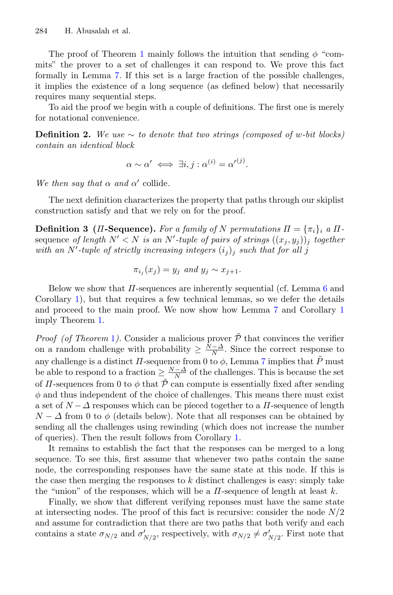The proof of Theorem [1](#page-6-3) mainly follows the intuition that sending  $\phi$  "commits" the prover to a set of challenges it can respond to. We prove this fact formally in Lemma [7.](#page-10-1) If this set is a large fraction of the possible challenges, it implies the existence of a long sequence (as defined below) that necessarily requires many sequential steps.

To aid the proof we begin with a couple of definitions. The first one is merely for notational convenience.

**Definition 2.** We use  $\sim$  to denote that two strings (composed of w-bit blocks) *contain an identical block*

$$
\alpha \sim \alpha' \iff \exists i, j : \alpha^{(i)} = {\alpha'}^{(j)}.
$$

*We then say that*  $\alpha$  *and*  $\alpha'$  collide.

The next definition characterizes the property that paths through our skiplist construction satisfy and that we rely on for the proof.

**Definition 3** (*Π*-Sequence). For a family of N permutations  $\Pi = \{\pi_i\}_i$  a  $\Pi$ sequence *of length*  $N' < N$  *is an*  $N'$ -tuple of pairs of strings  $((x_j, y_j))_j$  together with an  $N'$ -tuple of strictly increasing integers  $(i_j)_j$  *such that for all* j

$$
\pi_{i_j}(x_j) = y_j \text{ and } y_j \sim x_{j+1}.
$$

Below we show that  $\Pi$ -sequences are inherently sequential (cf. Lemma [6](#page-9-0) and Corollary [1\)](#page-9-1), but that requires a few technical lemmas, so we defer the details and proceed to the main proof. We now show how Lemma [7](#page-10-1) and Corollary [1](#page-9-1) imply Theorem [1.](#page-6-3)

*Proof (of Theorem [1](#page-6-3)).* Consider a malicious prover  $\tilde{\mathcal{P}}$  that convinces the verifier on a random challenge with probability  $\geq \frac{\tilde{N}-\Delta}{N}$ . Since the correct response to any challenge is a distinct  $\Pi$ -sequence from 0 to  $\phi$ , Lemma [7](#page-10-1) implies that  $\tilde{P}$  must be able to respond to a fraction  $\geq \frac{N-\Delta}{N}$  of the challenges. This is because the set of  $\Pi$ -sequences from 0 to  $\phi$  that  $\tilde{\mathcal{P}}$  can compute is essentially fixed after sending  $\phi$  and thus independent of the choice of challenges. This means there must exist a set of  $N - \Delta$  responses which can be pieced together to a  $\Pi$ -sequence of length  $N - \Delta$  from 0 to  $\phi$  (details below). Note that all responses can be obtained by sending all the challenges using rewinding (which does not increase the number of queries). Then the result follows from Corollary [1.](#page-9-1)

It remains to establish the fact that the responses can be merged to a long sequence. To see this, first assume that whenever two paths contain the same node, the corresponding responses have the same state at this node. If this is the case then merging the responses to  $k$  distinct challenges is easy: simply take the "union" of the responses, which will be a  $\Pi$ -sequence of length at least k.

Finally, we show that different verifying reponses must have the same state at intersecting nodes. The proof of this fact is recursive: consider the node  $N/2$ and assume for contradiction that there are two paths that both verify and each contains a state  $\sigma_{N/2}$  and  $\sigma'_{N/2}$ , respectively, with  $\sigma_{N/2} \neq \sigma'_{N/2}$ . First note that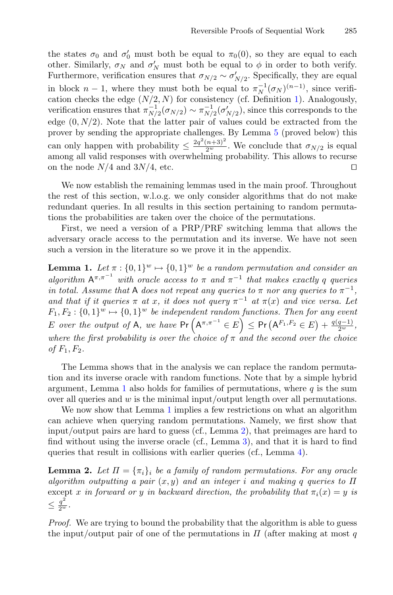the states  $\sigma_0$  and  $\sigma'_0$  must both be equal to  $\pi_0(0)$ , so they are equal to each other. Similarly,  $\sigma_N$  and  $\sigma'_N$  must both be equal to  $\phi$  in order to both verify. Furthermore, verification ensures that  $\sigma_{N/2} \sim \sigma'_{N/2}$ . Specifically, they are equal in block  $n-1$ , where they must both be equal to  $\pi_N^{-1}(\sigma_N)^{(n-1)}$ , since verification checks the edge  $(N/2, N)$  for consistency (cf. Definition [1\)](#page-5-1). Analogously, verification ensures that  $\pi_{N/2}^{-1}(\sigma_{N/2}) \sim \pi_{N/2}^{-1}(\sigma'_{N/2})$ , since this corresponds to the edge  $(0, N/2)$ . Note that the latter pair of values could be extracted from the prover by sending the appropriate challenges. By Lemma [5](#page-9-2) (proved below) this can only happen with probability  $\leq \frac{2q^2(n+3)^2}{2^w}$ . We conclude that  $\sigma_{N/2}$  is equal among all valid responses with overwhelming probability. This allows to recurse on the node  $N/4$  and  $3N/4$ , etc.

We now establish the remaining lemmas used in the main proof. Throughout the rest of this section, w.l.o.g. we only consider algorithms that do not make redundant queries. In all results in this section pertaining to random permutations the probabilities are taken over the choice of the permutations.

First, we need a version of a PRP/PRF switching lemma that allows the adversary oracle access to the permutation and its inverse. We have not seen such a version in the literature so we prove it in the appendix.

<span id="page-8-0"></span>**Lemma 1.** *Let*  $\pi$  :  $\{0,1\}^w \mapsto \{0,1\}^w$  *be a random permutation and consider an algorithm*  $A^{\pi,\pi^{-1}}$  *with oracle access to*  $\pi$  *and*  $\pi^{-1}$  *that makes exactly* q *queries in total. Assume that* A *does not repeat any queries to*  $\pi$  *nor any queries to*  $\pi^{-1}$ *, and that if it queries*  $\pi$  *at* x, *it does not query*  $\pi^{-1}$  *at*  $\pi(x)$  *and vice versa. Let*  $F_1, F_2: \{0,1\}^w \mapsto \{0,1\}^w$  *be independent random functions. Then for any event*  $E$  *over the output of* A, we have  $Pr(A^{\pi,\pi^{-1}} \in E) \le Pr(A^{F_1,F_2} \in E) + \frac{q(q-1)}{2^w}$ , *where the first probability is over the choice of*  $\pi$  *and the second over the choice of*  $F_1, F_2$ .

The Lemma shows that in the analysis we can replace the random permutation and its inverse oracle with random functions. Note that by a simple hybrid argument, Lemma [1](#page-8-0) also holds for families of permutations, where  $q$  is the sum over all queries and  $w$  is the minimal input/output length over all permutations.

We now show that Lemma [1](#page-8-0) implies a few restrictions on what an algorithm can achieve when querying random permutations. Namely, we first show that input/output pairs are hard to guess (cf., Lemma [2\)](#page-8-1), that preimages are hard to find without using the inverse oracle (cf., Lemma [3\)](#page-9-3), and that it is hard to find queries that result in collisions with earlier queries (cf., Lemma [4\)](#page-9-4).

<span id="page-8-1"></span>**Lemma 2.** Let  $\Pi = {\pi_i}_i$  be a family of random permutations. For any oracle *algorithm outputting a pair* (x, y) *and an integer* i *and making* q *queries to* Π except x *in forward or* y *in backward direction, the probability that*  $\pi_i(x) = y$  *is*  $\leq \frac{q^2}{2^w}.$ 

*Proof.* We are trying to bound the probability that the algorithm is able to guess the input/output pair of one of the permutations in  $\Pi$  (after making at most q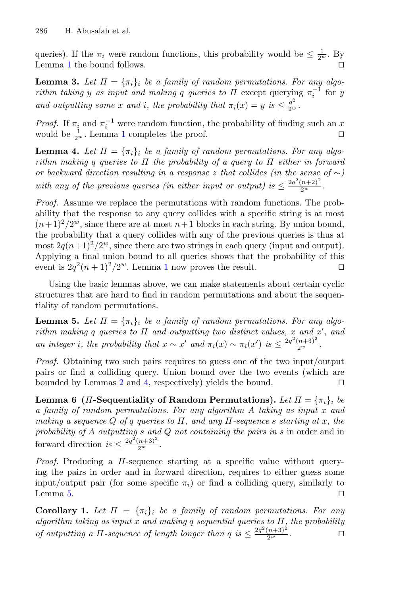queries). If the  $\pi_i$  were random functions, this probability would be  $\leq \frac{1}{2^w}$ . By Lemma [1](#page-8-0) the bound follows.

<span id="page-9-3"></span>**Lemma 3.** Let  $\Pi = {\pi_i}_i$  be a family of random permutations. For any algo*rithm taking* y as *input and making* q queries to  $\Pi$  except querying  $\pi_i^{-1}$  for y *and outputting some* x *and i*, the probability that  $\pi_i(x) = y$  is  $\leq \frac{q^2}{2^w}$ .

*Proof.* If  $\pi_i$  and  $\pi_i^{-1}$  were random function, the probability of finding such an x would be  $\frac{1}{2^w}$  $\frac{1}{2^w}$  $\frac{1}{2^w}$ . Lemma 1 completes the proof.

<span id="page-9-4"></span>**Lemma 4.** Let  $\Pi = {\pi_i}_i$  be a family of random permutations. For any algo*rithm making* q *queries to* Π *the probability of a query to* Π *either in forward or backward direction resulting in a response* <sup>z</sup> *that collides (in the sense of* <sup>∼</sup>*)* with any of the previous queries (in either input or output) is  $\leq \frac{2q^2(n+2)^2}{2^w}$ .

*Proof.* Assume we replace the permutations with random functions. The probability that the response to any query collides with a specific string is at most  $(n+1)^2/2^w$ , since there are at most  $n+1$  blocks in each string. By union bound, the probability that a query collides with any of the previous queries is thus at most  $2q(n+1)^2/2^w$ , since there are two strings in each query (input and output). Applying a final union bound to all queries shows that the probability of this event is  $2q^2(n+1)^2/2^w$  $2q^2(n+1)^2/2^w$  $2q^2(n+1)^2/2^w$ . Lemma 1 now proves the result.

Using the basic lemmas above, we can make statements about certain cyclic structures that are hard to find in random permutations and about the sequentiality of random permutations.

<span id="page-9-2"></span>**Lemma 5.** Let  $\Pi = {\pi_i}_i$  be a family of random permutations. For any algo*rithm making* q *queries to* Π *and outputting two distinct values,* x *and* x *, and an integer i, the probability that*  $x \sim x'$  *and*  $\pi_i(x) \sim \pi_i(x')$  *is*  $\leq \frac{2q^2(n+3)^2}{2^w}$ *.* 

*Proof.* Obtaining two such pairs requires to guess one of the two input/output pairs or find a colliding query. Union bound over the two events (which are bounded by Lemmas [2](#page-8-1) and [4,](#page-9-4) respectively) yields the bound.  $\square$ 

<span id="page-9-0"></span>**Lemma 6 (***II***-Sequentiality of Random Permutations).** Let  $\Pi = {\pi_i}_i$  be *a family of random permutations. For any algorithm* A *taking as input* x *and making a sequence* Q *of* q *queries to* Π*, and any* Π*-sequence* s *starting at* x*, the probability of* A *outputting* s *and* Q *not containing the pairs in* s in order and in forward direction  $is \leq \frac{2q^2(n+3)^2}{2^w}$ .

*Proof.* Producing a Π-sequence starting at a specific value without querying the pairs in order and in forward direction, requires to either guess some input/output pair (for some specific  $\pi_i$ ) or find a colliding query, similarly to Lemma [5.](#page-9-2)  $\Box$ 

<span id="page-9-1"></span>**Corollary 1.** Let  $\Pi = {\pi_i}_i$  be a family of random permutations. For any *algorithm taking as input* x *and making* q *sequential queries to* Π*, the probability of outputting a*  $\Pi$ *-sequence of length longer than*  $q$  *is*  $\leq \frac{2q^2(n+3)^2}{2^w}$ .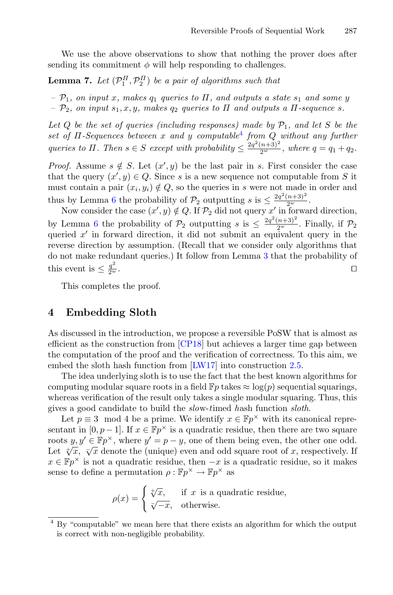<span id="page-10-1"></span>We use the above observations to show that nothing the prover does after sending its commitment  $\phi$  will help responding to challenges.

**Lemma 7.** Let  $(\mathcal{P}_1^{\Pi}, \mathcal{P}_2^{\Pi})$  be a pair of algorithms such that

 $- P_1$ *, on input x, makes*  $q_1$  *queries to*  $\Pi$ *, and outputs a state*  $s_1$  *and some* y

 $P_2$ *, on input*  $s_1, x, y$ *, makes*  $q_2$  *queries to*  $\Pi$  *and outputs a*  $\Pi$ *-sequence s.* 

Let  $Q$  be the set of queries (including responses) made by  $P_1$ , and let  $S$  be the *set of* Π*-Sequences between* x *and* y *computable*[4](#page-10-2) *from* Q *without any further queries to*  $\Pi$ *. Then*  $s \in S$  *except with probability*  $\leq \frac{2q^2(n+3)^2}{2^w}$ *, where*  $q = q_1 + q_2$ *.* 

*Proof.* Assume  $s \notin S$ . Let  $(x', y)$  be the last pair in s. First consider the case that the query  $(x', y) \in Q$ . Since s is a new sequence not computable from S it must contain a pair  $(x_i, y_i) \notin Q$ , so the queries in s were not made in order and thus by Lemma [6](#page-9-0) the probability of  $\mathcal{P}_2$  outputting s is  $\leq \frac{2q^2(n+3)^2}{2^w}$ .

Now consider the case  $(x', y) \notin Q$ . If  $\mathcal{P}_2$  did not query  $x'$  in forward direction, by Lemma [6](#page-9-0) the probability of  $\mathcal{P}_2$  outputting s is  $\leq \frac{2q^2(n+3)^2}{2^w}$ . Finally, if  $\mathcal{P}_2$ queried  $x'$  in forward direction, it did not submit an equivalent query in the reverse direction by assumption. (Recall that we consider only algorithms that do not make redundant queries.) It follow from Lemma [3](#page-9-3) that the probability of this event is  $\leq \frac{q^2}{2w}$ .  $\frac{q}{2^w}$ .

This completes the proof.

### <span id="page-10-0"></span>**4 Embedding Sloth**

As discussed in the introduction, we propose a reversible PoSW that is almost as efficient as the construction from [\[CP18\]](#page-13-1) but achieves a larger time gap between the computation of the proof and the verification of correctness. To this aim, we embed the sloth hash function from [\[LW17\]](#page-13-2) into construction [2.5.](#page-6-4)

The idea underlying sloth is to use the fact that the best known algorithms for computing modular square roots in a field  $\mathbb{F}p$  takes  $\approx \log(p)$  sequential squarings, whereas verification of the result only takes a single modular squaring. Thus, this gives a good candidate to build the *slo*w-*t*imed *h*ash function *sloth*.

Let  $p \equiv 3 \mod 4$  be a prime. We identify  $x \in \mathbb{F}p^{\times}$  with its canonical representant in [0, p – 1]. If  $x \in \mathbb{F}p^{\times}$  is a quadratic residue, then there are two square roots  $y, y' \in \mathbb{F}p^{\times}$ , where  $y' = p - y$ , one of them being even, the other one odd. Let  $\sqrt[x]{x}$ ,  $\sqrt[x]{x}$  denote the (unique) even and odd square root of x, respectively. If  $x \in \mathbb{F}p^{\times}$  is not a quadratic residue, then  $-x$  is a quadratic residue, so it makes sense to define a permutation  $\rho : \mathbb{F}p^{\times} \to \mathbb{F}p^{\times}$  as

> $\rho(x) = \begin{cases} \sqrt[4]{x}, & \text{if } x \text{ is a quadratic residue}, \\ 0, & \text{otherwise}. \end{cases}$  $\sqrt{-x}$ , otherwise.

<span id="page-10-2"></span> $4 By$  "computable" we mean here that there exists an algorithm for which the output is correct with non-negligible probability.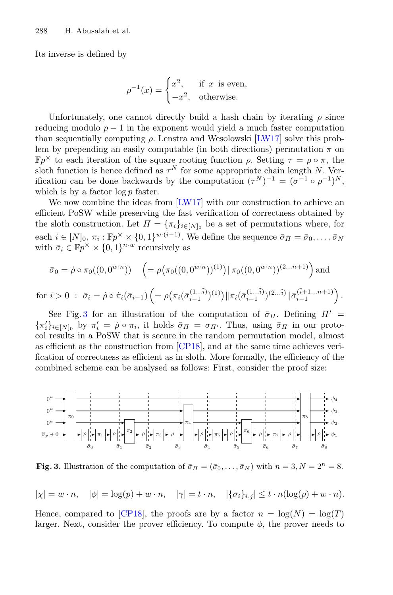Its inverse is defined by

$$
\rho^{-1}(x) = \begin{cases} x^2, & \text{if } x \text{ is even,} \\ -x^2, & \text{otherwise.} \end{cases}
$$

Unfortunately, one cannot directly build a hash chain by iterating  $\rho$  since reducing modulo  $p - 1$  in the exponent would yield a much faster computation than sequentially computing  $\rho$ . Lenstra and Wesolowski [\[LW17\]](#page-13-2) solve this problem by prepending an easily computable (in both directions) permutation  $\pi$  on  $\mathbb{F}p^{\times}$  to each iteration of the square rooting function  $\rho$ . Setting  $\tau = \rho \circ \pi$ , the sloth function is hence defined as  $\tau^N$  for some appropriate chain length N. Verification can be done backwards by the computation  $({\tau}^N)^{-1} = ({\sigma}^{-1} \circ {\rho}^{-1})^N$ , which is by a factor  $\log p$  faster.

We now combine the ideas from [\[LW17\]](#page-13-2) with our construction to achieve an efficient PoSW while preserving the fast verification of correctness obtained by the sloth construction. Let  $\Pi = {\pi_i}_{i \in [N]_0}$  be a set of permutations where, for each  $i \in [N]_0, \pi_i : \mathbb{F}p^{\times} \times \{0,1\}^{w \cdot (\tilde{i}-1)}$ . We define the sequence  $\bar{\sigma}_{\Pi} = \bar{\sigma}_0, \ldots, \bar{\sigma}_N$ with  $\bar{\sigma}_i \in \mathbb{F} p^{\times} \times \{0, 1\}^{n \cdot w}$  recursively as

$$
\bar{\sigma}_0 = \dot{\rho} \circ \pi_0((0, 0^{w \cdot n})) \quad \left(= \rho \big(\pi_0((0, 0^{w \cdot n}))^{(1)}\big) \|\pi_0((0, 0^{w \cdot n}))^{(2...n+1)}\right) \text{ and}
$$
\n
$$
\bar{i} > 0 \; : \; \bar{\sigma}_i = \dot{\rho} \circ \dot{\pi}_i(\bar{\sigma}_{i-1}) \left(= \rho \big(\pi_i(\bar{\sigma}_{i-1}^{(1...i)})^{(1)}\big) \|\pi_i(\bar{\sigma}_{i-1}^{(1...i)})^{(2...i)}\|\bar{\sigma}_{i-1}^{(i+1...n+1)}\right).
$$

for  $i > 0$ :  $\bar{\sigma}_i = \dot{\rho} \circ \dot{\pi}_i(\bar{\sigma}_{i-1}) \left( = \rho \left( \pi_i(\bar{\sigma}_{i-1}^{(1...i)})^{(1)} \right) || \pi_i(\bar{\sigma}_{i-1}^{(1...i)})^{(2...i)} \right)$  $\|\bar{\sigma}_{i-1}^{(\tilde{i}+1...n+1)}$ See Fig. [3](#page-11-0) for an illustration of the computation of  $\bar{\sigma}_{\Pi}$ . Defining  $\Pi' =$  $\{\pi'_i\}_{i\in[N]_0}$  by  $\pi'_i = \rho \circ \pi_i$ , it holds  $\bar{\sigma}_{\Pi} = \sigma_{\Pi'}$ . Thus, using  $\bar{\sigma}_{\Pi}$  in our proto-

col results in a PoSW that is secure in the random permutation model, almost as efficient as the construction from [\[CP18\]](#page-13-1), and at the same time achieves verification of correctness as efficient as in sloth. More formally, the efficiency of the combined scheme can be analysed as follows: First, consider the proof size:



<span id="page-11-0"></span>**Fig. 3.** Illustration of the computation of  $\bar{\sigma}_{II} = (\bar{\sigma}_0, \ldots, \bar{\sigma}_N)$  with  $n = 3, N = 2^n = 8$ .

$$
|\chi| = w \cdot n, \quad |\phi| = \log(p) + w \cdot n, \quad |\gamma| = t \cdot n, \quad |\{\sigma_i\}_{i,j}| \le t \cdot n(\log(p) + w \cdot n).
$$

Hence, compared to  $|CP18|$ , the proofs are by a factor  $n = \log(N) = \log(T)$ larger. Next, consider the prover efficiency. To compute  $\phi$ , the prover needs to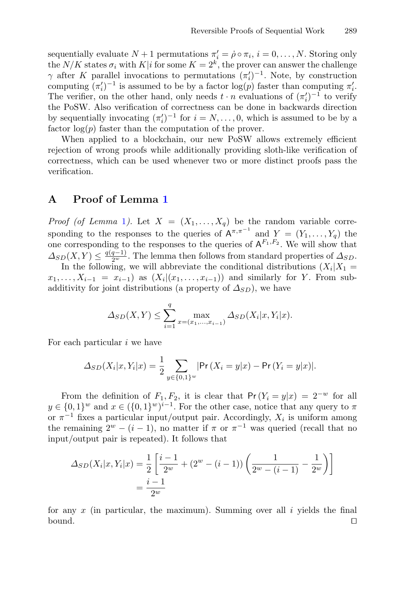sequentially evaluate  $N+1$  permutations  $\pi'_i = \dot{\rho} \circ \pi_i$ ,  $i = 0, \ldots, N$ . Storing only the  $N/K$  states  $\sigma_i$  with  $K|i$  for some  $K = 2^k$ , the prover can answer the challenge  $\gamma$  after K parallel invocations to permutations  $(\pi_i')^{-1}$ . Note, by construction computing  $(\pi_i')^{-1}$  is assumed to be by a factor  $\log(p)$  faster than computing  $\pi_i'$ . The verifier, on the other hand, only needs  $t \cdot n$  evaluations of  $(\pi_i')^{-1}$  to verify the PoSW. Also verification of correctness can be done in backwards direction by sequentially invocating  $(\pi_i')^{-1}$  for  $i = N, \ldots, 0$ , which is assumed to be by a factor  $log(p)$  faster than the computation of the prover.

When applied to a blockchain, our new PoSW allows extremely efficient rejection of wrong proofs while additionally providing sloth-like verification of correctness, which can be used whenever two or more distinct proofs pass the verification.

## **A Proof of Lemma [1](#page-8-0)**

*Proof (of Lemma [1](#page-8-0)).* Let  $X = (X_1, \ldots, X_q)$  be the random variable corresponding to the responses to the queries of  $A^{\pi,\pi^{-1}}$  and  $Y = (Y_1,\ldots,Y_q)$  the one corresponding to the responses to the queries of  $A^{F_1,F_2}$ . We will show that  $\Delta_{SD}(X, Y) \leq \frac{q(q-1)}{2^w}$ . The lemma then follows from standard properties of  $\Delta_{SD}$ .

In the following, we will abbreviate the conditional distributions  $(X_i|X_1 =$  $x_1,\ldots,X_{i-1} = x_{i-1}$  as  $(X_i|(x_1,\ldots,x_{i-1}))$  and similarly for Y. From subadditivity for joint distributions (a property of  $\Delta_{SD}$ ), we have

$$
\Delta_{SD}(X, Y) \le \sum_{i=1}^{q} \max_{x=(x_1,...,x_{i-1})} \Delta_{SD}(X_i | x, Y_i | x).
$$

For each particular  $i$  we have

$$
\Delta_{SD}(X_i|x, Y_i|x) = \frac{1}{2} \sum_{y \in \{0,1\}^w} |\Pr(X_i = y|x) - \Pr(Y_i = y|x)|.
$$

From the definition of  $F_1, F_2$ , it is clear that  $Pr(Y_i = y|x) = 2^{-w}$  for all  $y \in \{0,1\}^w$  and  $x \in (\{0,1\}^w)^{i-1}$ . For the other case, notice that any query to  $\pi$ or  $\pi^{-1}$  fixes a particular input/output pair. Accordingly,  $X_i$  is uniform among the remaining  $2^w - (i - 1)$ , no matter if  $\pi$  or  $\pi^{-1}$  was queried (recall that no input/output pair is repeated). It follows that

$$
\Delta_{SD}(X_i|x, Y_i|x) = \frac{1}{2} \left[ \frac{i-1}{2^w} + (2^w - (i-1)) \left( \frac{1}{2^w - (i-1)} - \frac{1}{2^w} \right) \right]
$$

$$
= \frac{i-1}{2^w}
$$

for any  $x$  (in particular, the maximum). Summing over all  $i$  yields the final bound.  $\square$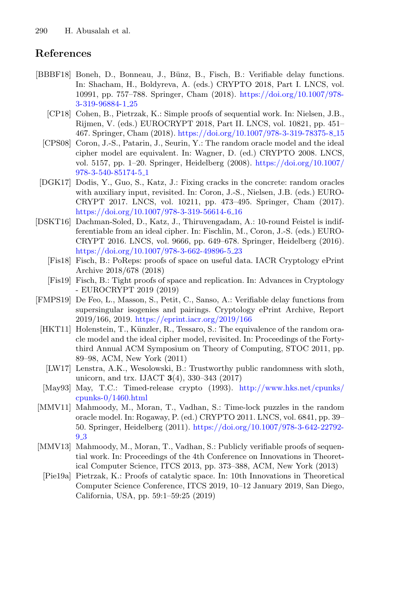# **References**

- <span id="page-13-10"></span><span id="page-13-5"></span><span id="page-13-1"></span>[BBBF18] Boneh, D., Bonneau, J., Bünz, B., Fisch, B.: Verifiable delay functions. In: Shacham, H., Boldyreva, A. (eds.) CRYPTO 2018, Part I. LNCS, vol. 10991, pp. 757–788. Springer, Cham (2018). [https://doi.org/10.1007/978-](https://doi.org/10.1007/978-3-319-96884-1_25) [3-319-96884-1](https://doi.org/10.1007/978-3-319-96884-1_25) 25
	- [CP18] Cohen, B., Pietrzak, K.: Simple proofs of sequential work. In: Nielsen, J.B., Rijmen, V. (eds.) EUROCRYPT 2018, Part II. LNCS, vol. 10821, pp. 451– 467. Springer, Cham (2018). [https://doi.org/10.1007/978-3-319-78375-8](https://doi.org/10.1007/978-3-319-78375-8_15) 15
	- [CPS08] Coron, J.-S., Patarin, J., Seurin, Y.: The random oracle model and the ideal cipher model are equivalent. In: Wagner, D. (ed.) CRYPTO 2008. LNCS, vol. 5157, pp. 1–20. Springer, Heidelberg (2008). [https://doi.org/10.1007/](https://doi.org/10.1007/978-3-540-85174-5_1) [978-3-540-85174-5](https://doi.org/10.1007/978-3-540-85174-5_1) 1
	- [DGK17] Dodis, Y., Guo, S., Katz, J.: Fixing cracks in the concrete: random oracles with auxiliary input, revisited. In: Coron, J.-S., Nielsen, J.B. (eds.) EURO-CRYPT 2017. LNCS, vol. 10211, pp. 473–495. Springer, Cham (2017). [https://doi.org/10.1007/978-3-319-56614-6](https://doi.org/10.1007/978-3-319-56614-6_16) 16
- <span id="page-13-13"></span><span id="page-13-12"></span><span id="page-13-8"></span>[DSKT16] Dachman-Soled, D., Katz, J., Thiruvengadam, A.: 10-round Feistel is indifferentiable from an ideal cipher. In: Fischlin, M., Coron, J.-S. (eds.) EURO-CRYPT 2016. LNCS, vol. 9666, pp. 649–678. Springer, Heidelberg (2016). [https://doi.org/10.1007/978-3-662-49896-5](https://doi.org/10.1007/978-3-662-49896-5_23)<sub>-</sub>23
	- [Fis18] Fisch, B.: PoReps: proofs of space on useful data. IACR Cryptology ePrint Archive 2018/678 (2018)
	- [Fis19] Fisch, B.: Tight proofs of space and replication. In: Advances in Cryptology - EUROCRYPT 2019 (2019)
- <span id="page-13-11"></span><span id="page-13-7"></span><span id="page-13-6"></span>[FMPS19] De Feo, L., Masson, S., Petit, C., Sanso, A.: Verifiable delay functions from supersingular isogenies and pairings. Cryptology ePrint Archive, Report 2019/166, 2019. <https://eprint.iacr.org/2019/166>
	- [HKT11] Holenstein, T., Künzler, R., Tessaro, S.: The equivalence of the random oracle model and the ideal cipher model, revisited. In: Proceedings of the Fortythird Annual ACM Symposium on Theory of Computing, STOC 2011, pp. 89–98, ACM, New York (2011)
		- [LW17] Lenstra, A.K., Wesolowski, B.: Trustworthy public randomness with sloth, unicorn, and trx. IJACT **3**(4), 330–343 (2017)
	- [May93] May, T.C.: Timed-release crypto (1993). [http://www.hks.net/cpunks/](http://www.hks.net/cpunks/ cpunks-0/1460.html) [cpunks-0/1460.html](http://www.hks.net/cpunks/ cpunks-0/1460.html)
- <span id="page-13-3"></span><span id="page-13-2"></span><span id="page-13-0"></span>[MMV11] Mahmoody, M., Moran, T., Vadhan, S.: Time-lock puzzles in the random oracle model. In: Rogaway, P. (ed.) CRYPTO 2011. LNCS, vol. 6841, pp. 39– 50. Springer, Heidelberg (2011). [https://doi.org/10.1007/978-3-642-22792-](https://doi.org/10.1007/978-3-642-22792-9_3) [9](https://doi.org/10.1007/978-3-642-22792-9_3) 3
- <span id="page-13-9"></span><span id="page-13-4"></span>[MMV13] Mahmoody, M., Moran, T., Vadhan, S.: Publicly verifiable proofs of sequential work. In: Proceedings of the 4th Conference on Innovations in Theoretical Computer Science, ITCS 2013, pp. 373–388, ACM, New York (2013)
	- [Pie19a] Pietrzak, K.: Proofs of catalytic space. In: 10th Innovations in Theoretical Computer Science Conference, ITCS 2019, 10–12 January 2019, San Diego, California, USA, pp. 59:1–59:25 (2019)